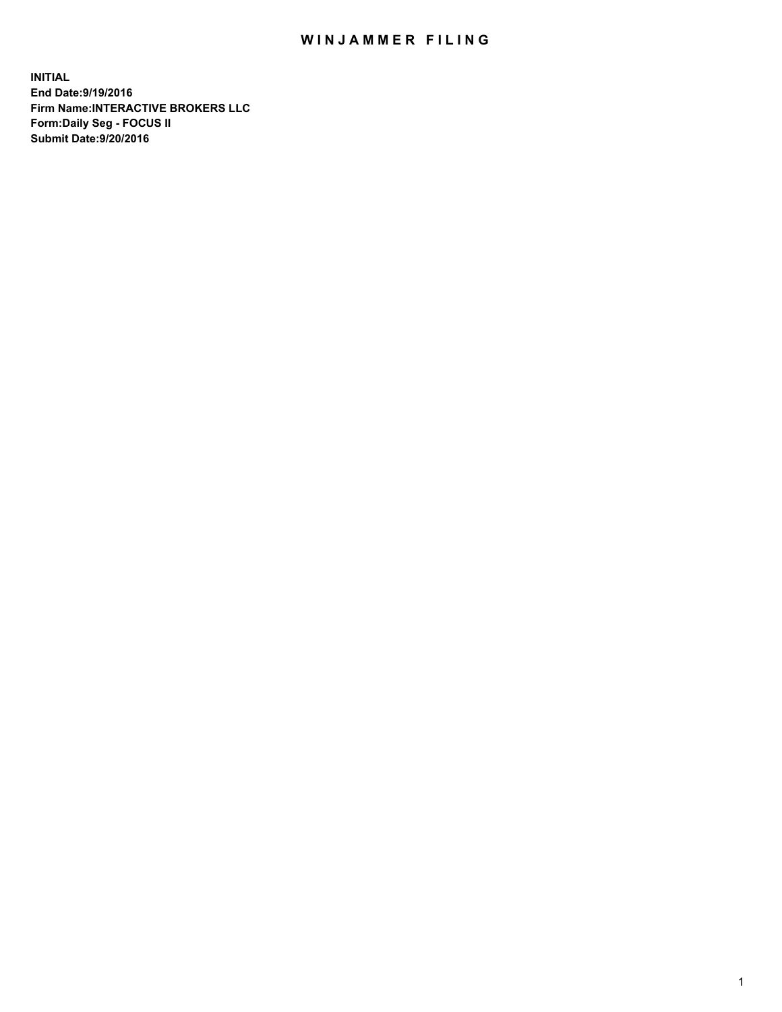## WIN JAMMER FILING

**INITIAL End Date:9/19/2016 Firm Name:INTERACTIVE BROKERS LLC Form:Daily Seg - FOCUS II Submit Date:9/20/2016**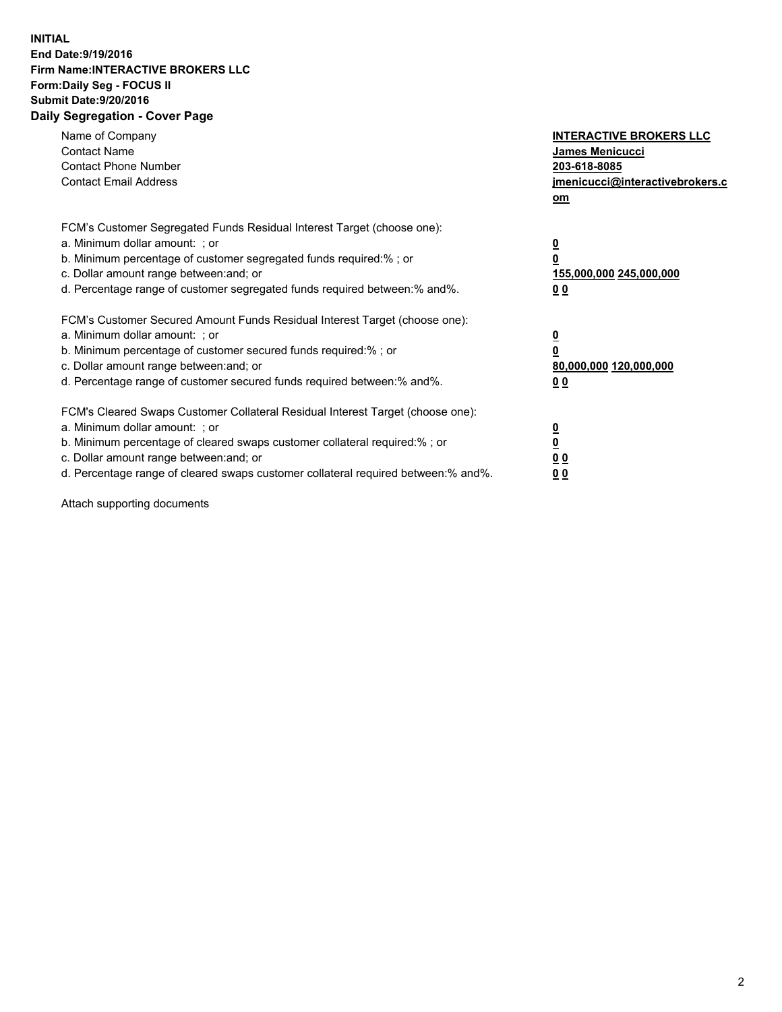## **INITIAL End Date:9/19/2016 Firm Name:INTERACTIVE BROKERS LLC Form:Daily Seg - FOCUS II Submit Date:9/20/2016 Daily Segregation - Cover Page**

| Name of Company<br><b>Contact Name</b><br><b>Contact Phone Number</b><br><b>Contact Email Address</b>                                                                                                                                                                                                                          | <b>INTERACTIVE BROKERS LLC</b><br>James Menicucci<br>203-618-8085<br>jmenicucci@interactivebrokers.c<br>om |
|--------------------------------------------------------------------------------------------------------------------------------------------------------------------------------------------------------------------------------------------------------------------------------------------------------------------------------|------------------------------------------------------------------------------------------------------------|
| FCM's Customer Segregated Funds Residual Interest Target (choose one):<br>a. Minimum dollar amount: ; or<br>b. Minimum percentage of customer segregated funds required:%; or<br>c. Dollar amount range between: and; or<br>d. Percentage range of customer segregated funds required between:% and%.                          | $\overline{\mathbf{0}}$<br>0<br>155,000,000 245,000,000<br>0 <sub>0</sub>                                  |
| FCM's Customer Secured Amount Funds Residual Interest Target (choose one):<br>a. Minimum dollar amount: ; or<br>b. Minimum percentage of customer secured funds required:%; or<br>c. Dollar amount range between: and; or<br>d. Percentage range of customer secured funds required between:% and%.                            | $\overline{\mathbf{0}}$<br>$\overline{\mathbf{0}}$<br>80,000,000 120,000,000<br>00                         |
| FCM's Cleared Swaps Customer Collateral Residual Interest Target (choose one):<br>a. Minimum dollar amount: ; or<br>b. Minimum percentage of cleared swaps customer collateral required:% ; or<br>c. Dollar amount range between: and; or<br>d. Percentage range of cleared swaps customer collateral required between:% and%. | $\overline{\mathbf{0}}$<br>$\overline{\mathbf{0}}$<br>0 <sub>0</sub><br><u>00</u>                          |

Attach supporting documents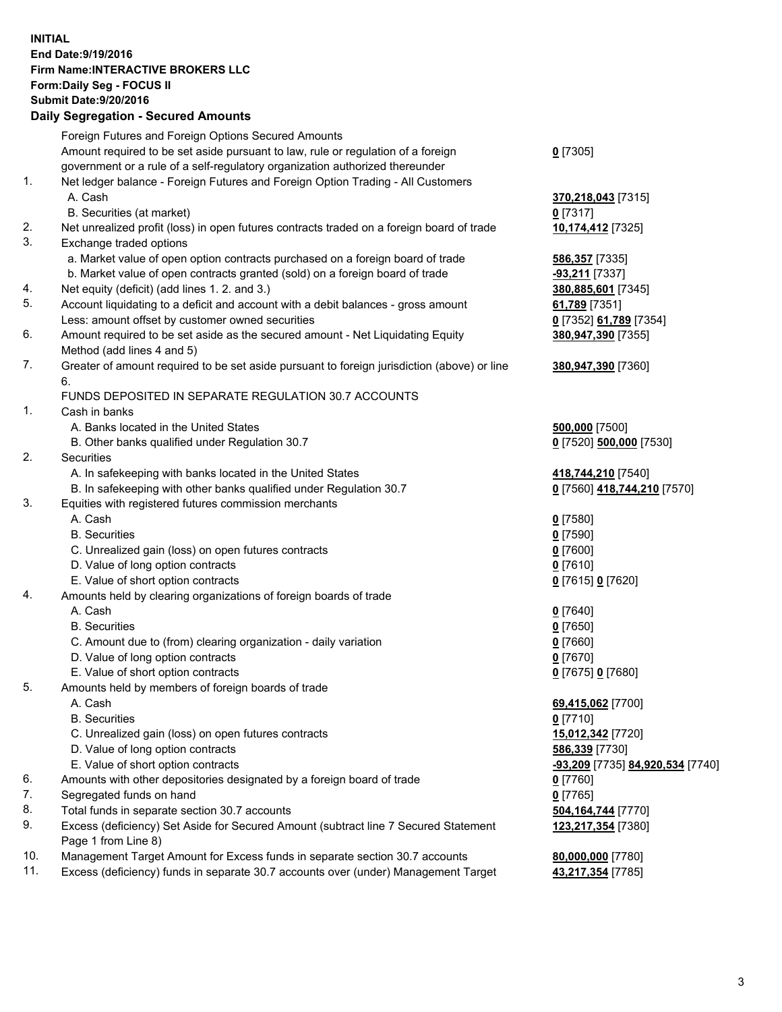## **INITIAL End Date:9/19/2016 Firm Name:INTERACTIVE BROKERS LLC Form:Daily Seg - FOCUS II Submit Date:9/20/2016 Daily Segregation - Secured Amounts**

|     | Daily Ocglegation - Occuled Amounts                                                                        |                                  |
|-----|------------------------------------------------------------------------------------------------------------|----------------------------------|
|     | Foreign Futures and Foreign Options Secured Amounts                                                        |                                  |
|     | Amount required to be set aside pursuant to law, rule or regulation of a foreign                           | $0$ [7305]                       |
|     | government or a rule of a self-regulatory organization authorized thereunder                               |                                  |
| 1.  | Net ledger balance - Foreign Futures and Foreign Option Trading - All Customers                            |                                  |
|     | A. Cash                                                                                                    | 370,218,043 [7315]               |
|     | B. Securities (at market)                                                                                  | $0$ [7317]                       |
| 2.  | Net unrealized profit (loss) in open futures contracts traded on a foreign board of trade                  | 10,174,412 [7325]                |
| 3.  | Exchange traded options                                                                                    |                                  |
|     | a. Market value of open option contracts purchased on a foreign board of trade                             | <b>586,357</b> [7335]            |
|     | b. Market value of open contracts granted (sold) on a foreign board of trade                               | -93,211 [7337]                   |
| 4.  | Net equity (deficit) (add lines 1. 2. and 3.)                                                              | 380,885,601 [7345]               |
| 5.  | Account liquidating to a deficit and account with a debit balances - gross amount                          | 61,789 [7351]                    |
|     | Less: amount offset by customer owned securities                                                           | 0 [7352] 61,789 [7354]           |
| 6.  | Amount required to be set aside as the secured amount - Net Liquidating Equity                             | 380,947,390 [7355]               |
|     | Method (add lines 4 and 5)                                                                                 |                                  |
| 7.  | Greater of amount required to be set aside pursuant to foreign jurisdiction (above) or line                | 380,947,390 [7360]               |
|     | 6.                                                                                                         |                                  |
|     | FUNDS DEPOSITED IN SEPARATE REGULATION 30.7 ACCOUNTS                                                       |                                  |
| 1.  | Cash in banks                                                                                              |                                  |
|     | A. Banks located in the United States                                                                      | 500,000 [7500]                   |
|     | B. Other banks qualified under Regulation 30.7                                                             | 0 [7520] 500,000 [7530]          |
| 2.  | Securities                                                                                                 |                                  |
|     | A. In safekeeping with banks located in the United States                                                  | 418,744,210 [7540]               |
|     | B. In safekeeping with other banks qualified under Regulation 30.7                                         | 0 [7560] 418,744,210 [7570]      |
| 3.  | Equities with registered futures commission merchants                                                      |                                  |
|     | A. Cash                                                                                                    | $0$ [7580]                       |
|     | <b>B.</b> Securities                                                                                       | $0$ [7590]                       |
|     | C. Unrealized gain (loss) on open futures contracts                                                        | $0$ [7600]                       |
|     | D. Value of long option contracts                                                                          | $0$ [7610]                       |
|     | E. Value of short option contracts                                                                         | 0 [7615] 0 [7620]                |
| 4.  | Amounts held by clearing organizations of foreign boards of trade                                          |                                  |
|     | A. Cash                                                                                                    | $0$ [7640]                       |
|     | <b>B.</b> Securities                                                                                       | $0$ [7650]                       |
|     | C. Amount due to (from) clearing organization - daily variation                                            | $0$ [7660]                       |
|     | D. Value of long option contracts                                                                          | $0$ [7670]                       |
|     | E. Value of short option contracts                                                                         | 0 [7675] 0 [7680]                |
| 5.  | Amounts held by members of foreign boards of trade                                                         |                                  |
|     | A. Cash                                                                                                    | 69,415,062 [7700]                |
|     | <b>B.</b> Securities                                                                                       | $0$ [7710]                       |
|     | C. Unrealized gain (loss) on open futures contracts                                                        | 15,012,342 [7720]                |
|     | D. Value of long option contracts                                                                          | 586,339 [7730]                   |
|     | E. Value of short option contracts                                                                         | -93,209 [7735] 84,920,534 [7740] |
| 6.  | Amounts with other depositories designated by a foreign board of trade                                     | 0 [7760]                         |
| 7.  | Segregated funds on hand                                                                                   | $0$ [7765]                       |
| 8.  | Total funds in separate section 30.7 accounts                                                              | 504, 164, 744 [7770]             |
| 9.  | Excess (deficiency) Set Aside for Secured Amount (subtract line 7 Secured Statement<br>Page 1 from Line 8) | 123,217,354 [7380]               |
| 10. | Management Target Amount for Excess funds in separate section 30.7 accounts                                | 80,000,000 [7780]                |
| 11. | Excess (deficiency) funds in separate 30.7 accounts over (under) Management Target                         | 43,217,354 [7785]                |
|     |                                                                                                            |                                  |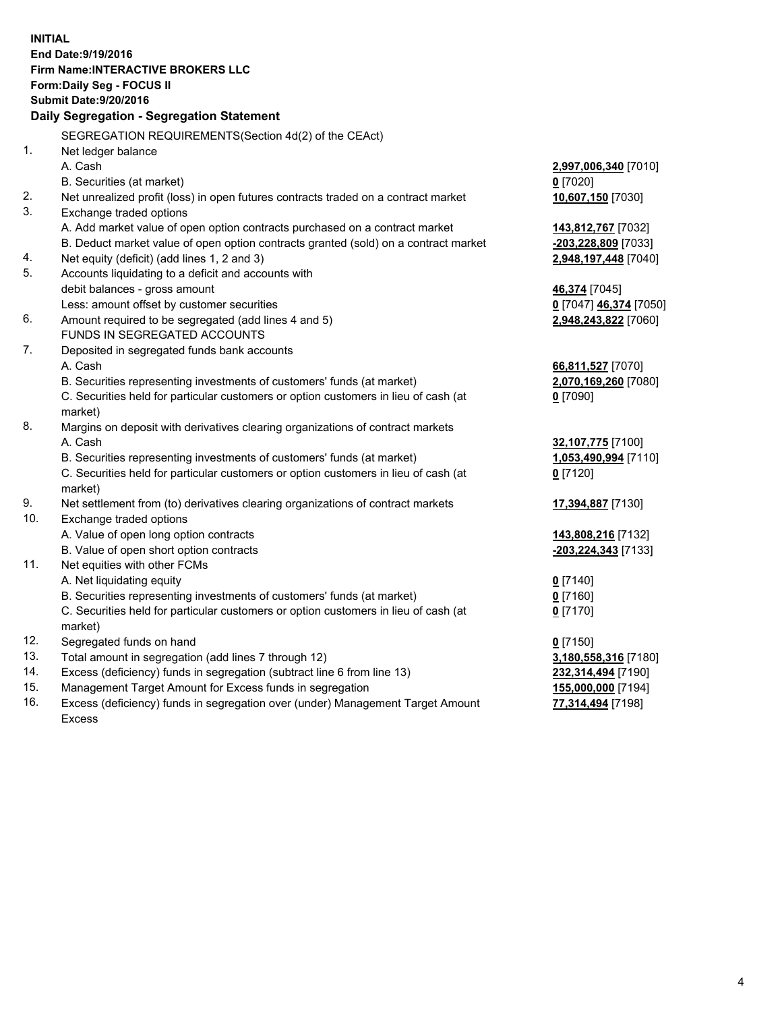**INITIAL End Date:9/19/2016 Firm Name:INTERACTIVE BROKERS LLC Form:Daily Seg - FOCUS II Submit Date:9/20/2016 Daily Segregation - Segregation Statement** SEGREGATION REQUIREMENTS(Section 4d(2) of the CEAct) 1. Net ledger balance A. Cash **2,997,006,340** [7010] B. Securities (at market) **0** [7020] 2. Net unrealized profit (loss) in open futures contracts traded on a contract market **10,607,150** [7030] 3. Exchange traded options A. Add market value of open option contracts purchased on a contract market **143,812,767** [7032] B. Deduct market value of open option contracts granted (sold) on a contract market **-203,228,809** [7033] 4. Net equity (deficit) (add lines 1, 2 and 3) **2,948,197,448** [7040] 5. Accounts liquidating to a deficit and accounts with debit balances - gross amount **46,374** [7045] Less: amount offset by customer securities **0** [7047] **46,374** [7050] 6. Amount required to be segregated (add lines 4 and 5) **2,948,243,822** [7060] FUNDS IN SEGREGATED ACCOUNTS 7. Deposited in segregated funds bank accounts A. Cash **66,811,527** [7070] B. Securities representing investments of customers' funds (at market) **2,070,169,260** [7080] C. Securities held for particular customers or option customers in lieu of cash (at market) **0** [7090] 8. Margins on deposit with derivatives clearing organizations of contract markets A. Cash **32,107,775** [7100] B. Securities representing investments of customers' funds (at market) **1,053,490,994** [7110] C. Securities held for particular customers or option customers in lieu of cash (at market) **0** [7120] 9. Net settlement from (to) derivatives clearing organizations of contract markets **17,394,887** [7130] 10. Exchange traded options A. Value of open long option contracts **143,808,216** [7132] B. Value of open short option contracts **-203,224,343** [7133] 11. Net equities with other FCMs A. Net liquidating equity **0** [7140] B. Securities representing investments of customers' funds (at market) **0** [7160] C. Securities held for particular customers or option customers in lieu of cash (at market) **0** [7170] 12. Segregated funds on hand **0** [7150] 13. Total amount in segregation (add lines 7 through 12) **3,180,558,316** [7180] 14. Excess (deficiency) funds in segregation (subtract line 6 from line 13) **232,314,494** [7190] 15. Management Target Amount for Excess funds in segregation **155,000,000** [7194] **77,314,494** [7198]

16. Excess (deficiency) funds in segregation over (under) Management Target Amount Excess